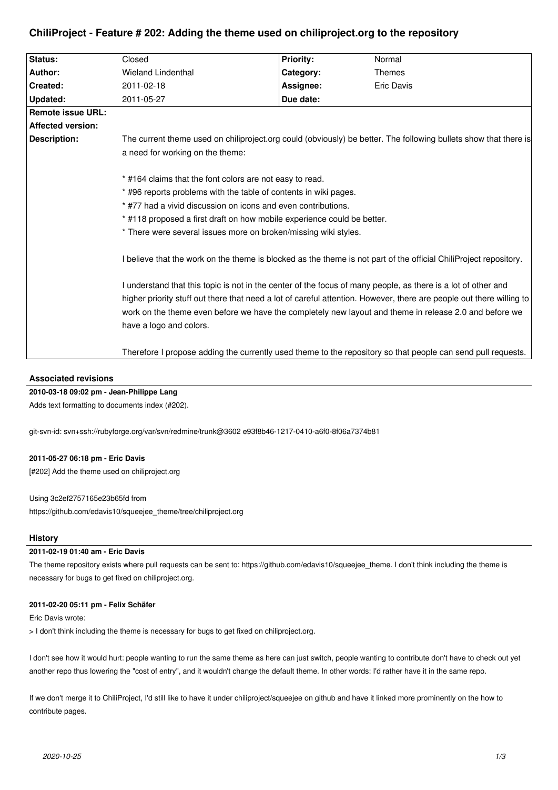| Status:                  | Closed                                                                                                                                                                                                                                                                                                                                                                     | <b>Priority:</b> | Normal            |
|--------------------------|----------------------------------------------------------------------------------------------------------------------------------------------------------------------------------------------------------------------------------------------------------------------------------------------------------------------------------------------------------------------------|------------------|-------------------|
| Author:                  | <b>Wieland Lindenthal</b>                                                                                                                                                                                                                                                                                                                                                  | Category:        | <b>Themes</b>     |
| Created:                 | 2011-02-18                                                                                                                                                                                                                                                                                                                                                                 | Assignee:        | <b>Eric Davis</b> |
| Updated:                 | 2011-05-27                                                                                                                                                                                                                                                                                                                                                                 | Due date:        |                   |
| <b>Remote issue URL:</b> |                                                                                                                                                                                                                                                                                                                                                                            |                  |                   |
| <b>Affected version:</b> |                                                                                                                                                                                                                                                                                                                                                                            |                  |                   |
| <b>Description:</b>      | The current theme used on chiliproject.org could (obviously) be better. The following bullets show that there is<br>a need for working on the theme:                                                                                                                                                                                                                       |                  |                   |
|                          | * #164 claims that the font colors are not easy to read.<br>* #96 reports problems with the table of contents in wiki pages.<br>* #77 had a vivid discussion on icons and even contributions.<br>* #118 proposed a first draft on how mobile experience could be better.<br>* There were several issues more on broken/missing wiki styles.                                |                  |                   |
|                          | I believe that the work on the theme is blocked as the theme is not part of the official ChiliProject repository.                                                                                                                                                                                                                                                          |                  |                   |
|                          | I understand that this topic is not in the center of the focus of many people, as there is a lot of other and<br>higher priority stuff out there that need a lot of careful attention. However, there are people out there willing to<br>work on the theme even before we have the completely new layout and theme in release 2.0 and before we<br>have a logo and colors. |                  |                   |
|                          | Therefore I propose adding the currently used theme to the repository so that people can send pull requests.                                                                                                                                                                                                                                                               |                  |                   |

# **ChiliProject - Feature # 202: Adding the theme used on chiliproject.org to the repository**

### **Associated revisions**

### **2010-03-18 09:02 pm - Jean-Philippe Lang**

Adds text formatting to documents index (#202).

git-svn-id: svn+ssh://rubyforge.org/var/svn/redmine/trunk@3602 e93f8b46-1217-0410-a6f0-8f06a7374b81

### **2011-05-27 06:18 pm - Eric Davis**

[#202] Add the theme used on chiliproject.org

Using 3c2ef2757165e23b65fd from https://github.com/edavis10/squeejee\_theme/tree/chiliproject.org

## **History**

### **2011-02-19 01:40 am - Eric Davis**

The theme repository exists where pull requests can be sent to: https://github.com/edavis10/squeejee\_theme. I don't think including the theme is necessary for bugs to get fixed on chiliproject.org.

#### **2011-02-20 05:11 pm - Felix Schäfer**

Eric Davis wrote:

> I don't think including the theme is necessary for bugs to get fixed on chiliproject.org.

I don't see how it would hurt: people wanting to run the same theme as here can just switch, people wanting to contribute don't have to check out yet another repo thus lowering the "cost of entry", and it wouldn't change the default theme. In other words: I'd rather have it in the same repo.

If we don't merge it to ChiliProject, I'd still like to have it under chiliproject/squeejee on github and have it linked more prominently on the how to contribute pages.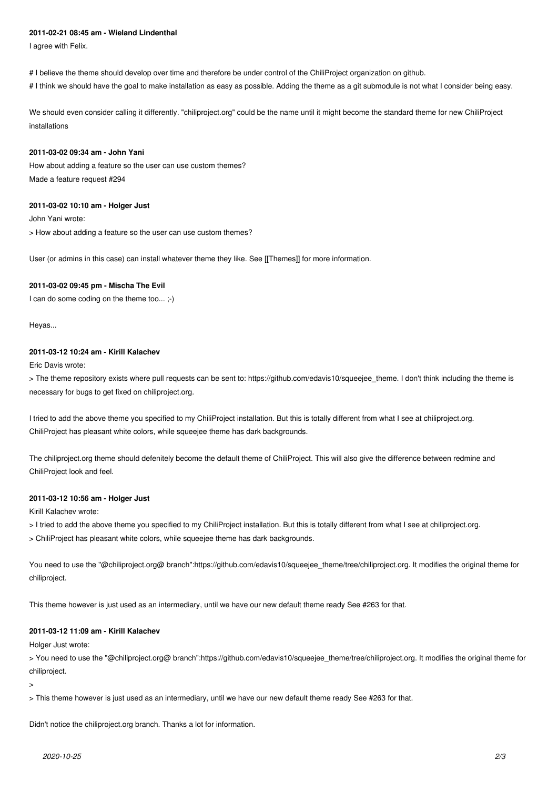#### **2011-02-21 08:45 am - Wieland Lindenthal**

I agree with Felix.

# I believe the theme should develop over time and therefore be under control of the ChiliProject organization on github.

# I think we should have the goal to make installation as easy as possible. Adding the theme as a git submodule is not what I consider being easy.

We should even consider calling it differently. "chiliproject.org" could be the name until it might become the standard theme for new ChiliProject installations

#### **2011-03-02 09:34 am - John Yani**

How about adding a feature so the user can use custom themes? Made a feature request #294

#### **2011-03-02 10:10 am - Holger Just**

John Yani wrote:

> How about adding a feature so the user can use custom themes?

User (or admins in this case) can install whatever theme they like. See [[Themes]] for more information.

#### **2011-03-02 09:45 pm - Mischa The Evil**

I can do some coding on the theme too... ;-)

Heyas...

#### **2011-03-12 10:24 am - Kirill Kalachev**

Eric Davis wrote:

> The theme repository exists where pull requests can be sent to: https://github.com/edavis10/squeejee\_theme. I don't think including the theme is necessary for bugs to get fixed on chiliproject.org.

I tried to add the above theme you specified to my ChiliProject installation. But this is totally different from what I see at chiliproject.org. ChiliProject has pleasant white colors, while squeejee theme has dark backgrounds.

The chiliproject.org theme should defenitely become the default theme of ChiliProject. This will also give the difference between redmine and ChiliProject look and feel.

#### **2011-03-12 10:56 am - Holger Just**

Kirill Kalachev wrote:

> I tried to add the above theme you specified to my ChiliProject installation. But this is totally different from what I see at chiliproject.org.

> ChiliProject has pleasant white colors, while squeejee theme has dark backgrounds.

You need to use the "@chiliproject.org@ branch":https://github.com/edavis10/squeejee\_theme/tree/chiliproject.org. It modifies the original theme for chiliproject.

This theme however is just used as an intermediary, until we have our new default theme ready See #263 for that.

#### **2011-03-12 11:09 am - Kirill Kalachev**

Holger Just wrote:

> You need to use the "@chiliproject.org@ branch":https://github.com/edavis10/squeejee\_theme/tree/chiliproject.org. It modifies the original theme for chiliproject.

>

> This theme however is just used as an intermediary, until we have our new default theme ready See #263 for that.

Didn't notice the chiliproject.org branch. Thanks a lot for information.